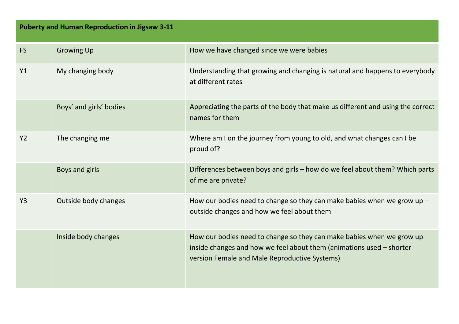| <b>Puberty and Human Reproduction in Jigsaw 3-11</b> |                         |                                                                                                                                                                                                    |  |
|------------------------------------------------------|-------------------------|----------------------------------------------------------------------------------------------------------------------------------------------------------------------------------------------------|--|
| <b>FS</b>                                            | <b>Growing Up</b>       | How we have changed since we were babies                                                                                                                                                           |  |
| Y1                                                   | My changing body        | Understanding that growing and changing is natural and happens to everybody<br>at different rates                                                                                                  |  |
|                                                      | Boys' and girls' bodies | Appreciating the parts of the body that make us different and using the correct<br>names for them                                                                                                  |  |
| Y <sub>2</sub>                                       | The changing me         | Where am I on the journey from young to old, and what changes can I be<br>proud of?                                                                                                                |  |
|                                                      | Boys and girls          | Differences between boys and girls - how do we feel about them? Which parts<br>of me are private?                                                                                                  |  |
| Y <sub>3</sub>                                       | Outside body changes    | How our bodies need to change so they can make babies when we grow up $-$<br>outside changes and how we feel about them                                                                            |  |
|                                                      | Inside body changes     | How our bodies need to change so they can make babies when we grow up $-$<br>inside changes and how we feel about them (animations used - shorter<br>version Female and Male Reproductive Systems) |  |